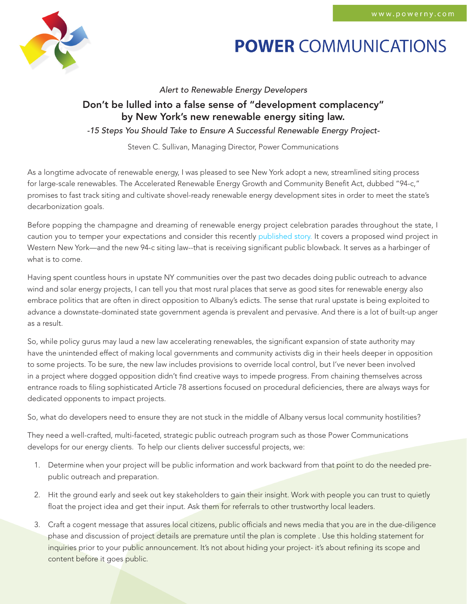

## **POWER COMMUNICATIONS**

*Alert to Renewable Energy Developers*

## Don't be lulled into a false sense of "development complacency" by New York's new renewable energy siting law.

*-15 Steps You Should Take to Ensure A Successful Renewable Energy Project-*

Steven C. Sullivan, Managing Director, Power Communications

As a longtime advocate of renewable energy, I was pleased to see New York adopt a new, streamlined siting process for large-scale renewables. The Accelerated Renewable Energy Growth and Community Benefit Act, dubbed "94-c," promises to fast track siting and cultivate shovel-ready renewable energy development sites in order to meet the state's decarbonization goals.

Before popping the champagne and dreaming of renewable energy project celebration parades throughout the state, I caution you to temper your expectations and consider this recently [published story.](https://www.lockportjournal.com/news/local_news/renewable-energy-act-panned-by-local-activists/article_1bb16efa-3ca3-5cbc-a15d-c70bb5b72a99.html) It covers a proposed wind project in Western New York—and the new 94-c siting law--that is receiving significant public blowback. It serves as a harbinger of what is to come.

Having spent countless hours in upstate NY communities over the past two decades doing public outreach to advance wind and solar energy projects, I can tell you that most rural places that serve as good sites for renewable energy also embrace politics that are often in direct opposition to Albany's edicts. The sense that rural upstate is being exploited to advance a downstate-dominated state government agenda is prevalent and pervasive. And there is a lot of built-up anger as a result.

So, while policy gurus may laud a new law accelerating renewables, the significant expansion of state authority may have the unintended effect of making local governments and community activists dig in their heels deeper in opposition to some projects. To be sure, the new law includes provisions to override local control, but I've never been involved in a project where dogged opposition didn't find creative ways to impede progress. From chaining themselves across entrance roads to filing sophisticated Article 78 assertions focused on procedural deficiencies, there are always ways for dedicated opponents to impact projects.

So, what do developers need to ensure they are not stuck in the middle of Albany versus local community hostilities?

They need a well-crafted, multi-faceted, strategic public outreach program such as those Power Communications develops for our energy clients. To help our clients deliver successful projects, we:

- 1. Determine when your project will be public information and work backward from that point to do the needed prepublic outreach and preparation.
- 2. Hit the ground early and seek out key stakeholders to gain their insight. Work with people you can trust to quietly float the project idea and get their input. Ask them for referrals to other trustworthy local leaders.
- 3. Craft a cogent message that assures local citizens, public officials and news media that you are in the due-diligence phase and discussion of project details are premature until the plan is complete . Use this holding statement for inquiries prior to your public announcement. It's not about hiding your project- it's about refining its scope and content before it goes public.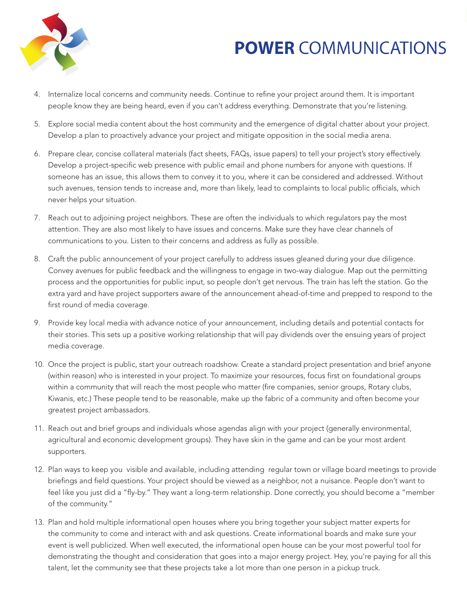

## **POWER COMMUNICATIONS**

- 4. Internalize local concerns and community needs. Continue to refine your project around them. It is important people know they are being heard, even if you can't address everything. Demonstrate that you're listening.
- 5. Explore social media content about the host community and the emergence of digital chatter about your project. Develop a plan to proactively advance your project and mitigate opposition in the social media arena.
- 6. Prepare clear, concise collateral materials (fact sheets, FAQs, issue papers) to tell your project's story effectively. Develop a project-specific web presence with public email and phone numbers for anyone with questions. If someone has an issue, this allows them to convey it to you, where it can be considered and addressed. Without such avenues, tension tends to increase and, more than likely, lead to complaints to local public officials, which never helps your situation.
- 7. Reach out to adjoining project neighbors. These are often the individuals to which regulators pay the most attention. They are also most likely to have issues and concerns. Make sure they have clear channels of communications to you. Listen to their concerns and address as fully as possible.
- 8. Craft the public announcement of your project carefully to address issues gleaned during your due diligence. Convey avenues for public feedback and the willingness to engage in two-way dialogue. Map out the permitting process and the opportunities for public input, so people don't get nervous. The train has left the station. Go the extra yard and have project supporters aware of the announcement ahead-of-time and prepped to respond to the first round of media coverage.
- 9. Provide key local media with advance notice of your announcement, including details and potential contacts for their stories. This sets up a positive working relationship that will pay dividends over the ensuing years of project media coverage.
- 10. Once the project is public, start your outreach roadshow. Create a standard project presentation and brief anyone (within reason) who is interested in your project. To maximize your resources, focus first on foundational groups within a community that will reach the most people who matter (fire companies, senior groups, Rotary clubs, Kiwanis, etc.) These people tend to be reasonable, make up the fabric of a community and often become your greatest project ambassadors.
- 11. Reach out and brief groups and individuals whose agendas align with your project (generally environmental, agricultural and economic development groups). They have skin in the game and can be your most ardent supporters.
- 12. Plan ways to keep you visible and available, including attending regular town or village board meetings to provide briefings and field questions. Your project should be viewed as a neighbor, not a nuisance. People don't want to feel like you just did a "fly-by." They want a long-term relationship. Done correctly, you should become a "member of the community."
- 13. Plan and hold multiple informational open houses where you bring together your subject matter experts for the community to come and interact with and ask questions. Create informational boards and make sure your event is well publicized. When well executed, the informational open house can be your most powerful tool for demonstrating the thought and consideration that goes into a major energy project. Hey, you're paying for all this talent, let the community see that these projects take a lot more than one person in a pickup truck.